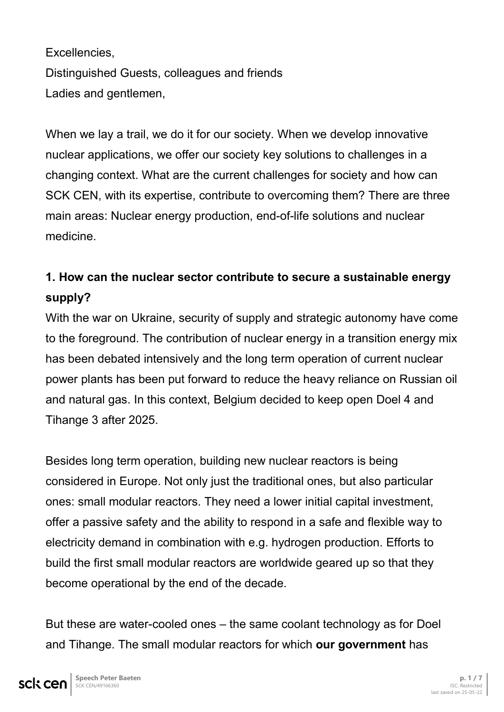Excellencies, Distinguished Guests, colleagues and friends Ladies and gentlemen,

When we lay a trail, we do it for our society. When we develop innovative nuclear applications, we offer our society key solutions to challenges in a changing context. What are the current challenges for society and how can SCK CEN, with its expertise, contribute to overcoming them? There are three main areas: Nuclear energy production, end-of-life solutions and nuclear medicine.

## **1. How can the nuclear sector contribute to secure a sustainable energy supply?**

With the war on Ukraine, security of supply and strategic autonomy have come to the foreground. The contribution of nuclear energy in a transition energy mix has been debated intensively and the long term operation of current nuclear power plants has been put forward to reduce the heavy reliance on Russian oil and natural gas. In this context, Belgium decided to keep open Doel 4 and Tihange 3 after 2025.

Besides long term operation, building new nuclear reactors is being considered in Europe. Not only just the traditional ones, but also particular ones: small modular reactors. They need a lower initial capital investment, offer a passive safety and the ability to respond in a safe and flexible way to electricity demand in combination with e.g. hydrogen production. Efforts to build the first small modular reactors are worldwide geared up so that they become operational by the end of the decade.

But these are water-cooled ones – the same coolant technology as for Doel and Tihange. The small modular reactors for which **our government** has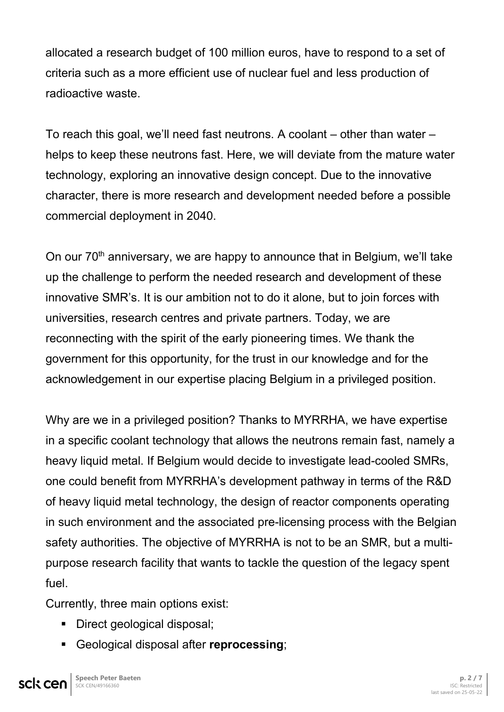allocated a research budget of 100 million euros, have to respond to a set of criteria such as a more efficient use of nuclear fuel and less production of radioactive waste.

To reach this goal, we'll need fast neutrons. A coolant – other than water – helps to keep these neutrons fast. Here, we will deviate from the mature water technology, exploring an innovative design concept. Due to the innovative character, there is more research and development needed before a possible commercial deployment in 2040.

On our 70<sup>th</sup> anniversary, we are happy to announce that in Belgium, we'll take up the challenge to perform the needed research and development of these innovative SMR's. It is our ambition not to do it alone, but to join forces with universities, research centres and private partners. Today, we are reconnecting with the spirit of the early pioneering times. We thank the government for this opportunity, for the trust in our knowledge and for the acknowledgement in our expertise placing Belgium in a privileged position.

Why are we in a privileged position? Thanks to MYRRHA, we have expertise in a specific coolant technology that allows the neutrons remain fast, namely a heavy liquid metal. If Belgium would decide to investigate lead-cooled SMRs, one could benefit from MYRRHA's development pathway in terms of the R&D of heavy liquid metal technology, the design of reactor components operating in such environment and the associated pre-licensing process with the Belgian safety authorities. The objective of MYRRHA is not to be an SMR, but a multipurpose research facility that wants to tackle the question of the legacy spent fuel.

Currently, three main options exist:

- Direct geological disposal;
- Geological disposal after **reprocessing**;

**Speech Peter Baeten p. 2** / 7<br> **p. 2** / 7<br> **p. 2** / 7<br> **p. 2** / 7 sck cen SCK CEN/49166360 ISC: Restricted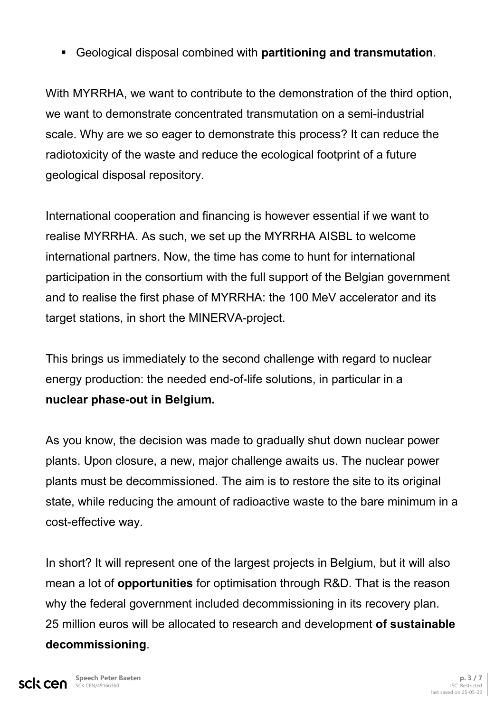Geological disposal combined with **partitioning and transmutation**.

With MYRRHA, we want to contribute to the demonstration of the third option, we want to demonstrate concentrated transmutation on a semi-industrial scale. Why are we so eager to demonstrate this process? It can reduce the radiotoxicity of the waste and reduce the ecological footprint of a future geological disposal repository.

International cooperation and financing is however essential if we want to realise MYRRHA. As such, we set up the MYRRHA AISBL to welcome international partners. Now, the time has come to hunt for international participation in the consortium with the full support of the Belgian government and to realise the first phase of MYRRHA: the 100 MeV accelerator and its target stations, in short the MINERVA-project.

This brings us immediately to the second challenge with regard to nuclear energy production: the needed end-of-life solutions, in particular in a **nuclear phase-out in Belgium.**

As you know, the decision was made to gradually shut down nuclear power plants. Upon closure, a new, major challenge awaits us. The nuclear power plants must be decommissioned. The aim is to restore the site to its original state, while reducing the amount of radioactive waste to the bare minimum in a cost-effective way.

In short? It will represent one of the largest projects in Belgium, but it will also mean a lot of **opportunities** for optimisation through R&D. That is the reason why the federal government included decommissioning in its recovery plan. 25 million euros will be allocated to research and development **of sustainable decommissioning**.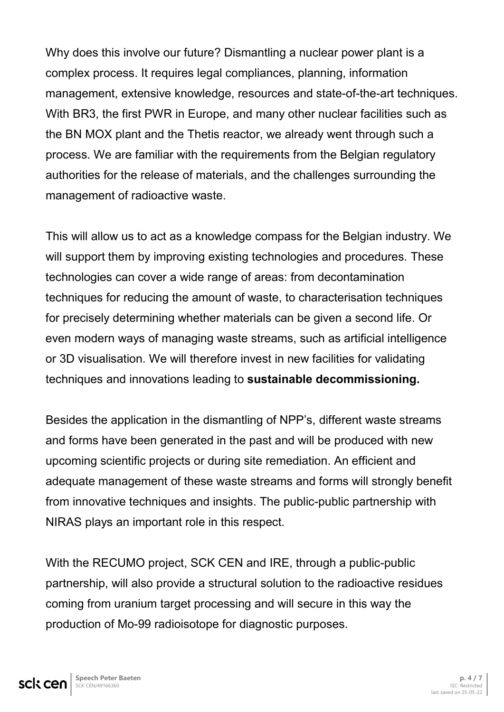Why does this involve our future? Dismantling a nuclear power plant is a complex process. It requires legal compliances, planning, information management, extensive knowledge, resources and state-of-the-art techniques. With BR3, the first PWR in Europe, and many other nuclear facilities such as the BN MOX plant and the Thetis reactor, we already went through such a process. We are familiar with the requirements from the Belgian regulatory authorities for the release of materials, and the challenges surrounding the management of radioactive waste.

This will allow us to act as a knowledge compass for the Belgian industry. We will support them by improving existing technologies and procedures. These technologies can cover a wide range of areas: from decontamination techniques for reducing the amount of waste, to characterisation techniques for precisely determining whether materials can be given a second life. Or even modern ways of managing waste streams, such as artificial intelligence or 3D visualisation. We will therefore invest in new facilities for validating techniques and innovations leading to **sustainable decommissioning.** 

Besides the application in the dismantling of NPP's, different waste streams and forms have been generated in the past and will be produced with new upcoming scientific projects or during site remediation. An efficient and adequate management of these waste streams and forms will strongly benefit from innovative techniques and insights. The public-public partnership with NIRAS plays an important role in this respect.

With the RECUMO project, SCK CEN and IRE, through a public-public partnership, will also provide a structural solution to the radioactive residues coming from uranium target processing and will secure in this way the production of Mo-99 radioisotope for diagnostic purposes.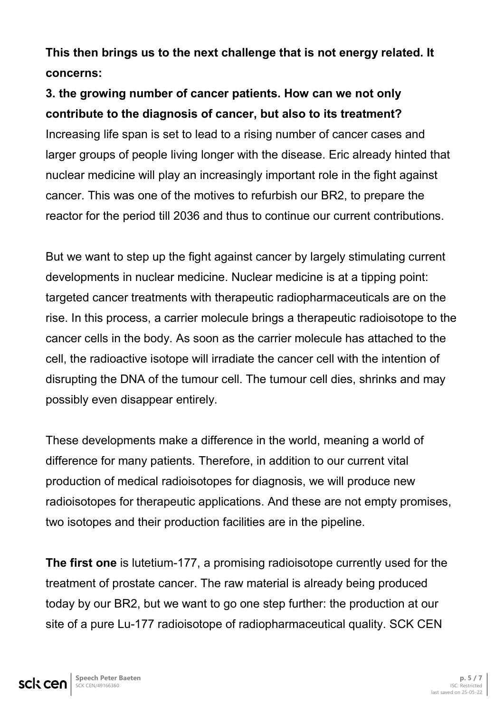**This then brings us to the next challenge that is not energy related. It concerns:**

**3. the growing number of cancer patients. How can we not only contribute to the diagnosis of cancer, but also to its treatment?** Increasing life span is set to lead to a rising number of cancer cases and larger groups of people living longer with the disease. Eric already hinted that nuclear medicine will play an increasingly important role in the fight against cancer. This was one of the motives to refurbish our BR2, to prepare the reactor for the period till 2036 and thus to continue our current contributions.

But we want to step up the fight against cancer by largely stimulating current developments in nuclear medicine. Nuclear medicine is at a tipping point: targeted cancer treatments with therapeutic radiopharmaceuticals are on the rise. In this process, a carrier molecule brings a therapeutic radioisotope to the cancer cells in the body. As soon as the carrier molecule has attached to the cell, the radioactive isotope will irradiate the cancer cell with the intention of disrupting the DNA of the tumour cell. The tumour cell dies, shrinks and may possibly even disappear entirely.

These developments make a difference in the world, meaning a world of difference for many patients. Therefore, in addition to our current vital production of medical radioisotopes for diagnosis, we will produce new radioisotopes for therapeutic applications. And these are not empty promises, two isotopes and their production facilities are in the pipeline.

**The first one** is lutetium-177, a promising radioisotope currently used for the treatment of prostate cancer. The raw material is already being produced today by our BR2, but we want to go one step further: the production at our site of a pure Lu-177 radioisotope of radiopharmaceutical quality. SCK CEN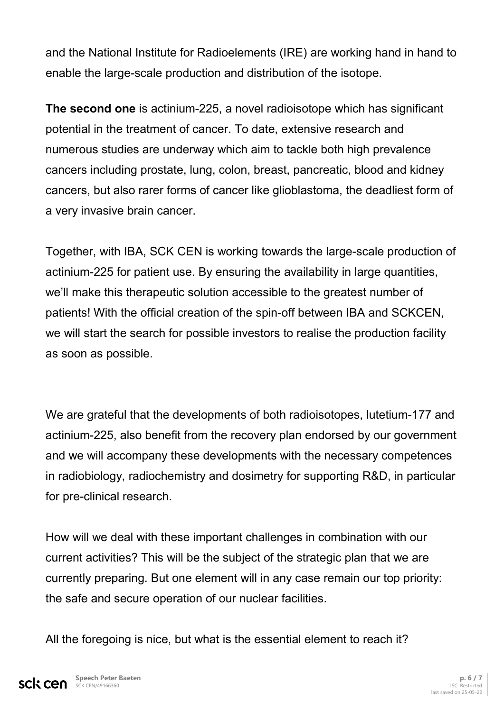and the National Institute for Radioelements (IRE) are working hand in hand to enable the large-scale production and distribution of the isotope.

**The second one** is actinium-225, a novel radioisotope which has significant potential in the treatment of cancer. To date, extensive research and numerous studies are underway which aim to tackle both high prevalence cancers including prostate, lung, colon, breast, pancreatic, blood and kidney cancers, but also rarer forms of cancer like glioblastoma, the deadliest form of a very invasive brain cancer.

Together, with IBA, SCK CEN is working towards the large-scale production of actinium-225 for patient use. By ensuring the availability in large quantities, we'll make this therapeutic solution accessible to the greatest number of patients! With the official creation of the spin-off between IBA and SCKCEN, we will start the search for possible investors to realise the production facility as soon as possible.

We are grateful that the developments of both radioisotopes, lutetium-177 and actinium-225, also benefit from the recovery plan endorsed by our government and we will accompany these developments with the necessary competences in radiobiology, radiochemistry and dosimetry for supporting R&D, in particular for pre-clinical research.

How will we deal with these important challenges in combination with our current activities? This will be the subject of the strategic plan that we are currently preparing. But one element will in any case remain our top priority: the safe and secure operation of our nuclear facilities.

All the foregoing is nice, but what is the essential element to reach it?